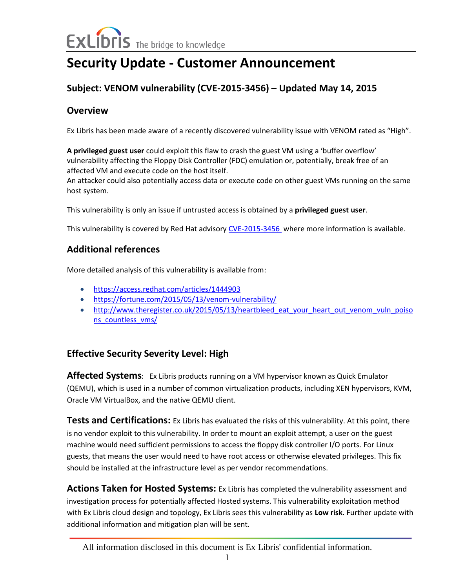# **Security Update - Customer Announcement**

## **Subject: VENOM vulnerability (CVE-2015-3456) – Updated May 14, 2015**

#### **Overview**

Ex Libris has been made aware of a recently discovered vulnerability issue with VENOM rated as "High".

**A privileged guest user** could exploit this flaw to crash the guest VM using a 'buffer overflow' vulnerability affecting the Floppy Disk Controller (FDC) emulation or, potentially, break free of an affected VM and execute code on the host itself.

An attacker could also potentially access data or execute code on other guest VMs running on the same host system.

This vulnerability is only an issue if untrusted access is obtained by a **privileged guest user**.

This vulnerability is covered by Red Hat advisor[y CVE-2015-3456](https://access.redhat.com/articles/1444903) where more information is available.

#### **Additional references**

More detailed analysis of this vulnerability is available from:

- <https://access.redhat.com/articles/1444903>
- <https://fortune.com/2015/05/13/venom-vulnerability/>
- http://www.theregister.co.uk/2015/05/13/heartbleed eat your heart out venom vuln poiso [ns\\_countless\\_vms/](http://www.theregister.co.uk/2015/05/13/heartbleed_eat_your_heart_out_venom_vuln_poisons_countless_vms/)

### **Effective Security Severity Level: High**

**Affected Systems**: Ex Libris products running on a VM hypervisor known as Quick Emulator (QEMU), which is used in a number of common virtualization products, including XEN hypervisors, KVM, Oracle VM VirtualBox, and the native QEMU client.

**Tests and Certifications:** Ex Libris has evaluated the risks of this vulnerability. At this point, there is no vendor exploit to this vulnerability. In order to mount an exploit attempt, a user on the guest machine would need sufficient permissions to access the floppy disk controller I/O ports. For Linux guests, that means the user would need to have root access or otherwise elevated privileges. This fix should be installed at the infrastructure level as per vendor recommendations.

**Actions Taken for Hosted Systems:** Ex Libris has completed the vulnerability assessment and investigation process for potentially affected Hosted systems. This vulnerability exploitation method with Ex Libris cloud design and topology, Ex Libris sees this vulnerability as **Low risk**. Further update with additional information and mitigation plan will be sent.